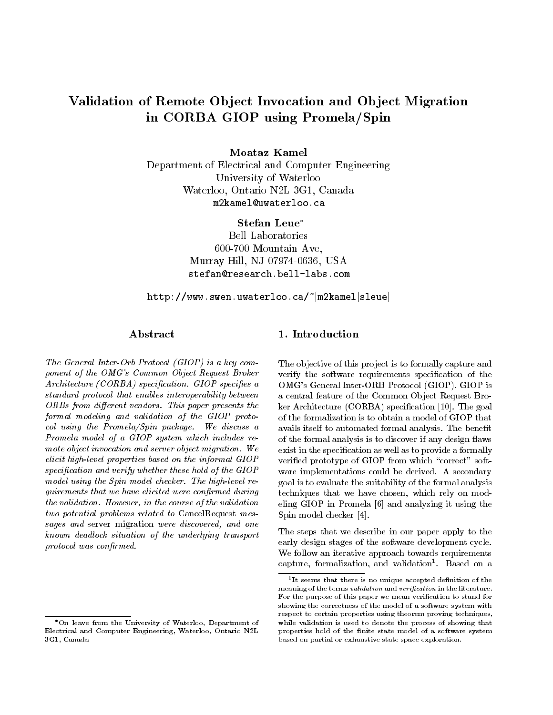# Validation of Remote Object Invocation and Object Migration in CORBA GIOP using Promela/Spin

Moataz Kamel

Department of Electrical and Computer Engineering University of Waterloo Waterloo. Ontario N2L 3G1. Canada Waterloo, Ontario N2L 3G1, Canada m2kamel@uwaterloo.ca

> Stefan Leue Bell Laboratories 600-700 Mountain Ave, Murray Hill, NJ 07974-0636, USA stefan@research.bell-labs.com

http://www.swen.uwaterloo.ca/~[m2kamel|sleue]

# A bstract

The General Inter-Orb Protocol (GIOP) is a key component of the OMG's Common Object Request Broker Architecture (CORBA) specification. GIOP specifies a standard protocol that enables interoperability between  $ORBs$  from different vendors. This paper presents the formal modeling and validation of the GIOP protocol using the Promela/Spin package. We discuss a Promela model of a GIOP system which includes re mote object invocation and server object migration. We elicit high-level properties based on the informal GIOP specification and verify whether these hold of the GIOP model using the Spin model checker. The high-level requirements that we have elicited were confirmed during the validation. However, in the course of the validation two potential problems related to CancelRequest messages and server migration were discovered, and one known dead lock situation of the underlying transport protocol was confirmed.

The objective of this project is to formally capture and verify the software requirements specification of the OMG's General Inter-ORB Protocol (GIOP). GIOP is a central feature of the Common Object Request Broker Architecture (CORBA) specification [10]. The goal of the formalization is to obtain a model of GIOP that avails itself to automated formal analysis. The benefit of the formal analysis is to discover if any design flaws exist in the specification as well as to provide a formally verified prototype of GIOP from which "correct" software implementations could be derived. A secondary goal is to evaluate the suitability of the formal analysis techniques that we have chosen, which rely on modeling GIOP in Promela [6] and analyzing it using the Spin model checker [4].

The steps that we describe in our paper apply to the early design stages of the software development cycle. We follow an iterative approach towards requirements capture, formalization, and validation1 . Based on a

On leave from the University of Waterloo, Department ofElectrical and Computer Engineering, Waterloo, Ontario N2L3G1, Canada

<sup>1</sup> It seems that there is no unique accepted denition of themeaning of the terms validation and verication in the literature. For the purpose of this paper we mean verification to stand for showing the correctness of the model of a software system withrespect to certain properties using theorem proving techniques,while validation is used to denote the process of showing thatproperties hold of the finite state model of a software system based on partial or exhaustive state space exploration.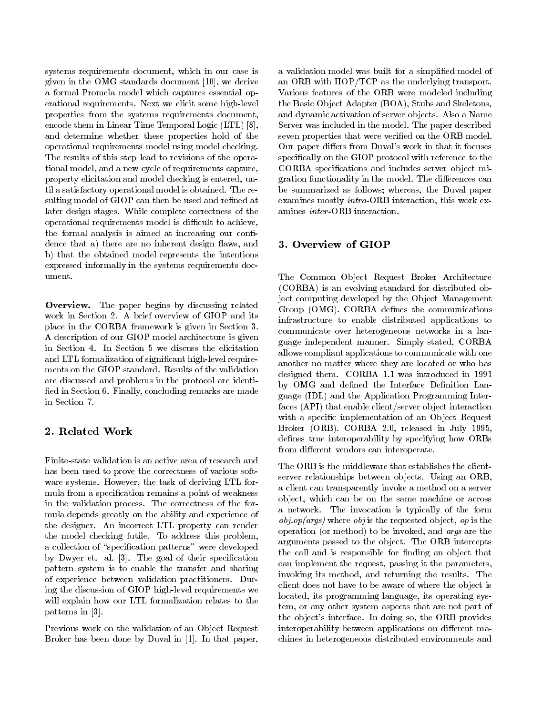systems requirements document, which in our case is given in the OMG standards document [10], we derive a formal Promela model which captures essential operational requirements. Next we elicit some high-level properties from the systems requirements document, encode them in Linear Time Temporal Logic (LTL) [8], and determine whether these properties hold of the operational requirements model using model checking. The results of this step lead to revisions of the operational model, and a new cycle of requirements capture, property elicitation and model checking is entered, until a satisfactory operational model is obtained. The resulting model of GIOP can then be used and refined at later design stages. While complete correctness of the operational requirements model is difficult to achieve, the formal analysis is aimed at increasing our confidence that a) there are no inherent design flaws, and b) that the obtained model represents the intentions expressed informally in the systems requirements document.

Overview. The paper begins by discussing related work in Section 2. A brief overview of GIOP and its place in the CORBA framework is given in Section 3. A description of our GIOP model architecture is given in Section 4. In Section 5 we discuss the elicitation and LTL formalization of signicant high-level require ments on the GIOP standard. Results of the validation are discussed and problems in the protocol are identi fied in Section 6. Finally, concluding remarks are made in Section 7.

# 2. Related Work

Finite-state validation is an active area of research and has been used to prove the correctness of various soft ware systems. However, the task of deriving LTL for mula from a specication remains a point of weakness in the validation process. The correctness of the for mula depends greatly on the ability and experience of the designer. An incorrect LTL property can render the model checking futile. To address this problem, a collection of "specification patterns" were developed by Dwyer et. al. [3]. The goal of their specification pattern system is to enable the transfer and sharing of experience between validation practitioners. During the discussion of GIOP high-level requirements we will explain how our LTL formalization relates to the patterns in [3].

Previous work on the validation of an Object Request Broker has been done by Duval in [1]. In that paper, a validation model was built for a simplied model of an ORB with IIOP/TCP as the underlying transport. Various features of the ORB were modeled including the Basic Object Adapter (BOA), Stubs and Skeletons, and dynamic activation of server objects. Also a Name Server was included in the model. The paper described seven properties that were verified on the ORB model. Our paper differs from Duval's work in that it focuses specifically on the GIOP protocol with reference to the CORBA specications and includes server object migration functionality in the model. The differences can be summarized as follows; whereas, the Duval paper examines mostly intra-ORB interaction, this work examines inter -ORB interaction.

# 3. Overview of GIOP

The Common Object Request Broker Architecture (CORBA) is an evolving standard for distributed object computing developed by the Object Management Group (OMG). CORBA defines the communications infrastructure to enable distributed applications to communicate over heterogeneous networks in a language independent manner. Simply stated, CORBA allows compliant applications to communicate with one another no matter where they are located or who has designed them. CORBA 1.1 was introduced in 1991 by OMG and defined the Interface Definition Language (IDL) and the Application Programming Interfaces (API) that enable client/server object interaction with a specific implementation of an Object Request Broker (ORB). CORBA 2.0, released in July 1995, defines true interoperability by specifying how ORBs from different vendors can interoperate.

The ORB is the middleware that establishes the clientserver relationships between objects. Using an ORB, a client can transparently invoke a method on a server object, which can be on the same machine or across a network. The invocation is typically of the form  $obj.op(args)$  where  $obj$  is the requested object, op is the operation (or method) to be invoked, and args are the arguments passed to the object. The ORB intercepts the call and is responsible for finding an object that can implement the request, passing it the parameters, invoking its method, and returning the results. The client does not have to be aware of where the object is located, its programming language, its operating system, or any other system aspects that are not part of the object's interface. In doing so, the ORB provides interoperability between applications on different machines in heterogeneous distributed environments and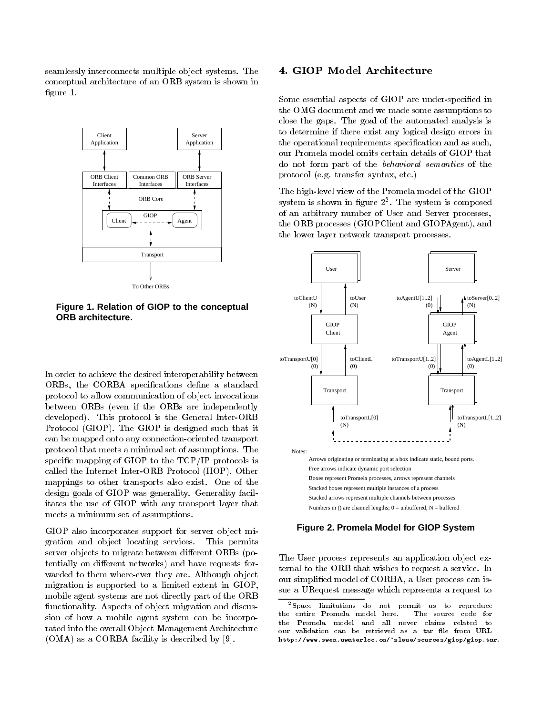seamlessly interconnects multiple object systems. The conceptual architecture of an ORB system is shown in figure 1.



**Figure 1. Relation of GIOP to the conceptual ORB architecture.**

In order to achieve the desired interoperability between ORBs, the CORBA specifications define a standard protocol to allow communication of object invocations between ORBs (even if the ORBs are independently developed). This protocol is the General Inter-ORB Protocol (GIOP). The GIOP is designed such that it can be mapped onto any connection-oriented transport protocol that meets a minimal set of assumptions. The specic mapping of GIOP to the TCP/IP protocols is called the Internet Inter-ORB Protocol (IIOP). Other mappings to other transports also exist. One of the design goals of GIOP was generality. Generality facilitates the use of GIOP with any transport layer that meets a minimum set of assumptions.

GIOP also incorporates support for server object migration and object locating services. This permits server objects to migrate between different ORBs (potentially on different networks) and have requests forwarded to them where-ever they are. Although object migration is supported to a limited extent in GIOP, mobile agent systems are not directly part of the ORB functionality. Aspects of object migration and discussion of how a mobile agent system can be incorporated into the overall Object Management Architecture (OMA) as a CORBA facility is described by [9].

# 4. GIOP Model Architecture

Some essential aspects of GIOP are under-specified in the OMG document and we made some assumptions to close the gaps. The goal of the automated analysis is to determine if there exist any logical design errors in the operational requirements specication and as such, our Promela model omits certain details of GIOP that do not form part of the behavioral semantics of the protocol (e.g. transfer syntax, etc.)

The high-level view of the Promela model of the GIOP system is shown in figure  $\it 2^-$ . The system is composed  $\it$ of an arbitrary number of User and Server processes, the ORB processes (GIOPClient and GIOPAgent), and the lower layer network transport processes.



#### **Figure 2. Promela Model for GIOP System**

The User process represents an application object external to the ORB that wishes to request a service. In our simplied model of CORBA, a User process can issue a URequest message which represents a request to

<sup>2</sup>Space limitations do not permit us to reproduce the entire Promela model here. The source code for the Promester and all water was allow the claims relative to our validation can be retrieved as a tar file from URL http://www.swen.uwaterloo.ca/~sleue/sources/giop/giop.tar.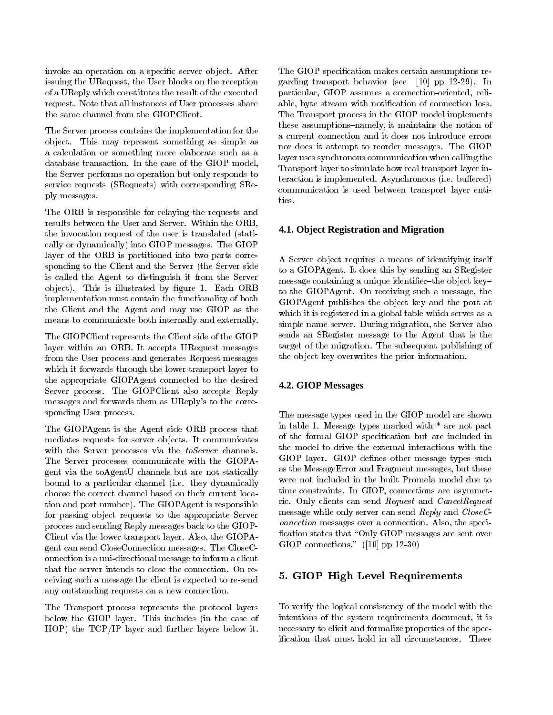invoke an operation on a specific server object. After issuing the URequest, the User blocks on the reception of a UReply which constitutes the result of the executed request. Note that all instances of User processes share the same channel from the GIOPClient.

The Server process contains the implementation for the object. This may represent something as simple as a calculation or something more elaborate such as a database transaction. In the case of the GIOP model, the Server performs no operation but only responds to service requests (SRequests) with corresponding SReply messages.

The ORB is responsible for relaying the requests and results between the User and Server. Within the ORB, the invocation request of the user is translated (statically or dynamically) into GIOP messages. The GIOP layer of the ORB is partitioned into two parts corresponding to the Client and the Server (the Server side is called the Agent to distinguish it from the Server object). This is illustrated by figure 1. Each ORB implementation must contain the functionality of both the Client and the Agent and may use GIOP as the means to communicate both internally and externally.

The GIOPClient represents the Client side of the GIOP layer within an ORB. It accepts URequest messages from the User process and generates Request messages which it forwards through the lower transport layer to the appropriate GIOPAgent connected to the desired Server process. The GIOPClient also accepts Reply messages and forwards them as UReply's to the corresponding User process.

The GIOPAgent is the Agent side ORB process that mediates requests for server objects. It communicates with the Server processes via the toServer channels. The Server processes communicate with the GIOPAgent via the toAgentU channels but are not statically bound to a particular channel (i.e. they dynamically choose the correct channel based on their current location and port number). The GIOPAgent is responsible for passing object requests to the appropriate Server process and sending Reply messages back to the GIOP-Client via the lower transport layer. Also, the GIOPAgent can send CloseConnection messages. The CloseConnection is a uni-directional message to inform a client that the server intends to close the connection. On receiving such a message the client is expected to re-send any outstanding requests on a new connection.

The Transport process represents the protocol layers below the GIOP layer. This includes (in the case of IIOP) the TCP/IP layer and further layers below it.

The GIOP specification makes certain assumptions regarding transport behavior (see [10] pp 12-29). In particular, GIOP assumes a connection-oriented, reliable, byte stream with notification of connection loss. The Transport process in the GIOP model implements these assumptions-namely, it maintains the notion of nor does it attempt to reorder messages. The GIOP layer uses synchronous communication when calling the Transport layer to simulate how real transport layer interaction is implemented. Asynchronous (i.e. buffered) communication is used between transport layer entities.

## **4.1. Object Registration and Migration**

A Server object requires a means of identifying itself to a GIOPAgent. It does this by sending an SRegister message containing a unique identifier-the object keyto the GIOPAgent. On receiving such a message, the GIOPAgent publishes the object key and the port at which it is registered in a global table which serves as a simple name server. During migration, the Server also sends an SRegister message to the Agent that is the target of the migration. The subsequent publishing of the object key overwrites the prior information.

## **4.2. GIOP Messages**

The message types used in the GIOP model are shown in table 1. Message types marked with \* are not part of the formal GIOP specication but are included in the model to drive the external interactions with the GIOP layer. GIOP defines other message types such as the MessageError and Fragment messages, but these were not included in the built Promela model due to time constraints. In GIOP, connections are asymmetric. Only clients can send Request and CancelRequest message while only server can send Reply and CloseConnection messages over a connection. Also, the speci fication states that "Only GIOP messages are sent over GIOP connections." ([10] pp 12-30)

# 5. GIOP High Level Requirements

To verify the logical consistency of the model with the intentions of the system requirements document, it is necessary to elicit and formalize properties of the specication that must hold in all circumstances. These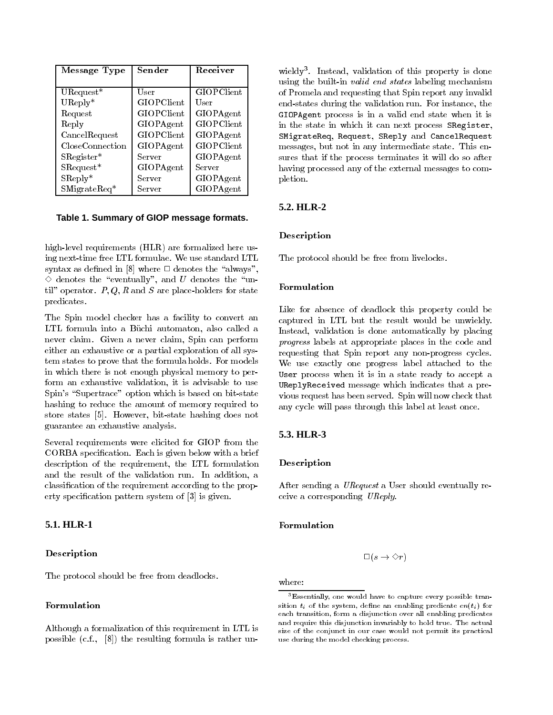| Message Type           | Sender     | Receiver   |
|------------------------|------------|------------|
|                        |            |            |
| $UR$ equest*           | User       | GIOPClient |
| $UReply*$              | GIOPClient | User       |
| Request                | GIOPClient | GIOPAgent  |
| Reply                  | GIOPAgent  | GIOPClient |
| CancelRequest          | GIOPClient | GIOPAgent  |
| CloseConnection        | GIOPAgent  | GIOPClient |
| $SRegister*$           | Server     | GIOPAgent  |
| $SRequest*$            | GIOPAgent  | Server     |
| $SR$ eply <sup>*</sup> | Server     | GIOPAgent  |
| $SM$ igrate $Req*$     | Server     | GIOPAgent  |

### **Table 1. Summary of GIOP message formats.**

high-level requirements (HLR) are formalized here using next-time free LTL formulae. We use standard LTL syntax as defined in [8] where  $\Box$  denotes the "always",  $\Diamond$  denotes the "eventually", and U denotes the "until" operator.  $P, Q, R$  and S are place-holders for state predicates.

The Spin model checker has a facility to convert an LTL formula into a Büchi automaton, also called a never claim. Given a never claim, Spin can perform either an exhaustive or a partial exploration of all system states to prove that the formula holds. For models in which there is not enough physical memory to perform an exhaustive validation, it is advisable to use Spin's "Supertrace" option which is based on bit-state hashing to reduce the amount of memory required to store states [5]. However, bit-state hashing does not guarantee an exhaustive analysis.

Several requirements were elicited for GIOP from the CORBA specication. Each is given below with a brief description of the requirement, the LTL formulation and the result of the validation run. In addition, a classication of the requirement according to the property specication pattern system of [3] is given.

# **5.1. HLR-1**

#### Description

The protocol should be free from deadlocks.

# Formulation

Although a formalization of this requirement in LTL is possible (c.f., [8]) the resulting formula is rather un-

wieldy3 . Instead, validation of this property is done using the built-in valid end states labeling mechanism of Promela and requesting that Spin report any invalid end-states during the validation run. For instance, the GIOPAgent process is in a valid end state when it is in the state in which it can next process SRegister, SMigrateReq, Request, SReply and CancelRequest messages, but not in any intermediate state. This ensures that if the process terminates it will do so after having processed any of the external messages to completion.

#### **5.2. HLR-2**

#### Description

The protocol should be free from livelocks.

#### Formulation

Like for absence of deadlock this property could be captured in LTL but the result would be unwieldy. Instead, validation is done automatically by placing progress labels at appropriate places in the code and requesting that Spin report any non-progress cycles. We use exactly one progress label attached to the User process when it is in a state ready to accept a UReplyReceived message which indicates that a previous request has been served. Spin will now check that any cycle will pass through this label at least once.

# **5.3. HLR-3**

#### Description

After sending a URequest a User should eventually receive a corresponding UReply.

#### Formulation

$$
\square\left(s\rightarrow \diamondsuit r\right)
$$

where:

 $3$ Essentially, one would have to capture every possible transition  $v_i$  or the system, define an enabling predicate  $en(v_i)$  for each transition, form a disjunction over all enabling predicatesand require this disjunction invariably to hold true. The actual size of the conjunct in our case would not permit its practicaluse during the model checking process.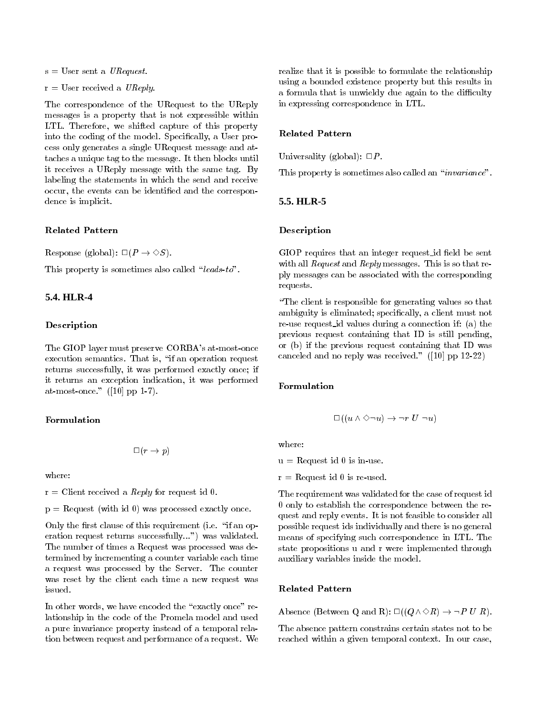$s =$  User sent a *URequest*.

 $r =$  User received a UReply.

The correspondence of the URequest to the UReply messages is a property that is not expressible within LTL. Therefore, we shifted capture of this property into the coding of the model. Specifically, a User process only generates a single URequest message and attaches a unique tag to the message. It then blocks until it receives a UReply message with the same tag. By labeling the statements in which the send and receive occur, the events can be identified and the correspondence is implicit.

#### Related Pattern

Response (global):  $\square (P \rightarrow \Diamond S)$ .

This property is sometimes also called "leads-to".

# **5.4. HLR-4**

#### Description

The GIOP layer must preserve CORBA's at-most-once execution semantics. That is, "if an operation request returns successfully, it was performed exactly once; if it returns an exception indication, it was performed at-most-once." ([10] pp 1-7).

#### Formulation

$$
\Box\, (r\rightarrow p)
$$

where:

 $r =$  Client received a *Reply* for request id 0.

 $p =$  Request (with id 0) was processed exactly once.

Only the first clause of this requirement (i.e. "if an operation request returns successfully...") was validated. The number of times a Request was processed was determined by incrementing a counter variable each time a request was processed by the Server. The counter was reset by the client each time a new request was issued.

In other words, we have encoded the "exactly once" relationship in the code of the Promela model and used a pure invariance property instead of a temporal relation between request and performance of a request. We realize that it is possible to formulate the relationship using a bounded existence property but this results in a formula that is unwieldy due again to the difficulty in expressing correspondence in LTL.

# Related Pattern

Universality (global):  $\Box P$ .

This property is sometimes also called an "invariance".

# **5.5. HLR-5**

#### Description

GIOP requires that an integer request\_id field be sent with all *Request* and *Reply* messages. This is so that reply messages can be associated with the corresponding requests.

\The client is responsible for generating values so that ambiguity is eliminated; specically, a client must not re-use request id values during a connection if: (a) the previous request containing that ID is still pending, or (b) if the previous request containing that ID was canceled and no reply was received." ([10] pp 12-22)

#### Formulation

$$
\Box ((u \wedge \Diamond \neg u) \rightarrow \neg r \ U \neg u)
$$

where:

 $u =$  Request id 0 is in-use.

 $r =$ Request id 0 is re-used.

The requirement was validated for the case of request id 0 only to establish the correspondence between the request and reply events. It is not feasible to consider all possible request ids individually and there is no general means of specifying such correspondence in LTL. The state propositions u and r were implemented through auxiliary variables inside the model.

#### Related Pattern

Absence (Between Q and R):  $\square((Q \wedge \Diamond R) \rightarrow \neg P U R)$ .

The absence pattern constrains certain states not to be reached within a given temporal context. In our case,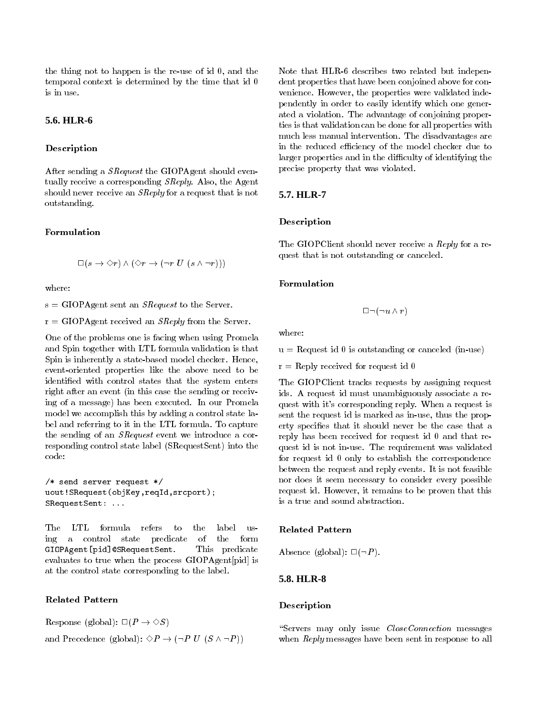the thing not to happen is the re-use of id 0, and the temporal context is determined by the time that id 0 is in use.

# **5.6. HLR-6**

# Description

After sending a *SRequest* the GIOPAgent should eventually receive a corresponding SReply. Also, the Agent should never receive an SReply for a request that is not outstanding.

## Formulation

$$
\Box(s \to \Diamond r) \land (\Diamond r \to (\neg r \ U \ (s \land \neg r)))
$$

where:

 $s = GIOPAgent$  sent an *SRequest* to the Server.

 $r = GIOPAgent$  received an *SReply* from the Server.

One of the problems one is facing when using Promela and Spin together with LTL formula validation is that Spin is inherently a state-based model checker. Hence, event-oriented properties like the above need to be identied with control states that the system enters right after an event (in this case the sending or receiving of a message) has been executed. In our Promela model we accomplish this by adding a control state label and referring to it in the LTL formula. To capture the sending of an SRequest event we introduce a corresponding control state label (SRequestSent) into the code:

```
/* send server request */
uout!SRequest(objKey,reqId,srcport);
SRequestSent: ...
```
The LTL formula refers to the label  $118$ ing a control state predicate of the form GIOPAgent[pid]@SRequestSent. This predicate evaluates to true when the process GIOPAgent[pid] is at the control state corresponding to the label.

#### Related Pattern

Response (global):  $\square (P \rightarrow \Diamond S)$ and Precedence (global):  $\Diamond P \rightarrow (\neg P \ U \ (S \land \neg P))$  Note that HLR-6 describes two related but independent properties that have been conjoined above for convenience. However, the properties were validated independently in order to easily identify which one generated a violation. The advantage of conjoining properties is that validation can be done for all properties with much less manual intervention. The disadvantages are disadvantages are a in the reduced efficiency of the model checker due to larger properties and in the difficulty of identifying the precise property that was violated.

# **5.7. HLR-7**

#### Description

The GIOPClient should never receive a Reply for a request that is not outstanding or canceled.

#### Formulation

$$
\Box \,\lnot (\lnot u \land r)
$$

where:

 $u =$  Request id 0 is outstanding or canceled (in-use)

 $r = Reply received for request id 0$ 

The GIOPClient tracks requests by assigning request ids. A request id must unambiguously associate a request with it's corresponding reply. When a request is sent the request id is marked as in-use, thus the property species that it should never be the case that a reply has been received for request id 0 and that request id is not in-use. The requirement was validated for request id 0 only to establish the correspondence between the request and reply events. It is not feasible nor does it seem necessary to consider every possible request id. However, it remains to be proven that this is a true and sound abstraction.

#### Related Pattern

Absence (global):  $\square(\neg P)$ .

#### **5.8. HLR-8**

# Description

"Servers may only issue CloseConnection messages when Reply messages have been sent in response to all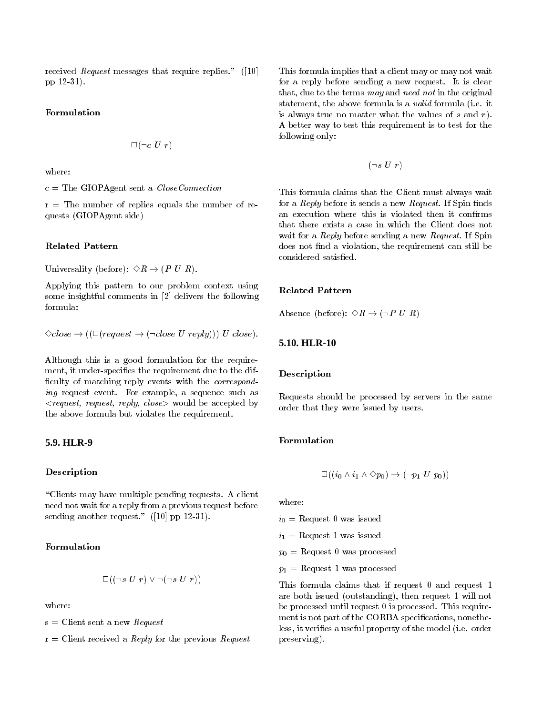received *Request* messages that require replies." ([10] pp 12-31).

## Formulation

$$
\Box \,(\neg c\,\,U\,\,r)
$$

where:

 $c =$  The GIOPAgent sent a *CloseConnection* 

 $r =$  The number of replies equals the number of requests (GIOPAgent side)

#### Related Pattern

Universality (before):  $\Diamond R \rightarrow (P \ U \ R)$ .

Applying this pattern to our problem context using some insightful comments in [2] delivers the following formula:

 $\Diamond close \rightarrow ((\Box (request \rightarrow (\neg close \ U \ reply))) \ U \ close).$ 

Although this is a good formulation for the require ment, it under-specifies the requirement due to the difficulty of matching reply events with the *correspond*ing request event. For example, a sequence such as  $\langle request, request, reply, close \rangle$  would be accepted by the above formula but violates the requirement.

# **5.9. HLR-9**

## Description

\Clients may have multiple pending requests. A client need not wait for a reply from a previous request before sending another request." ([10] pp 12-31).

# Formulation

$$
\Box ((\neg s \ U \ r) \lor \neg (\neg s \ U \ r))
$$

 $s =$  Client sent a new Request

 $r =$  Client received a *Reply* for the previous *Request* 

This formula implies that a client may or may not wait for a reply before sending a new request. It is clear that, due to the terms may and need not in the original statement, the above formula is a valid formula (i.e. it is always true no matter what the values of  $s$  and  $r$ ). A better way to test this requirement is to test for the following only:

$$
(\neg s\,\,U\,\,r)
$$

This formula claims that the Client must always wait for a  $Reply$  before it sends a new  $Request$ . If Spin finds an execution where this is violated then it confirms that there exists a case in which the Client does not wait for a *Reply* before sending a new *Request*. If Spin does not find a violation, the requirement can still be considered satisfied.

#### Related Pattern

Absence (before):  $\Diamond R \rightarrow (\neg P U R)$ 

# **5.10. HLR-10**

#### Description

Requests should be processed by servers in the same order that they were issued by users.

#### Formulation

$$
\Box((i_0 \wedge i_1 \wedge \Diamond p_0) \rightarrow (\neg p_1 \ U \ p_0))
$$

where:

 $i_0 =$  Request 0 was issued  $i_1 =$  Request 1 was issued  $p_0 =$  Request 0 was processed  $p_1 =$  Request 1 was processed

This formula claims that if request 0 and request 1 are both issued (outstanding), then request 1 will not be processed until request 0 is processed. This require ment is not part of the CORBA specifications, nonetheless, it veries a useful property of the model (i.e. order preserving).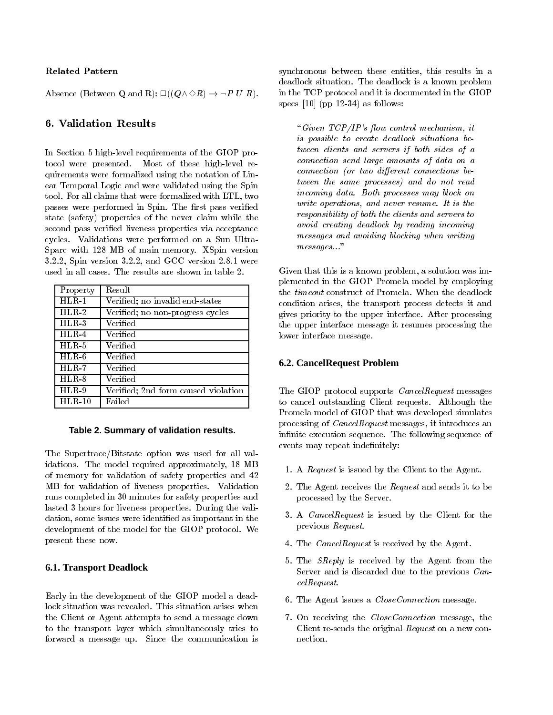## Related Pattern

Absence (Between Q and R):  $\square((Q \wedge \Diamond R) \rightarrow \neg P U R)$ .

# 6. Validation Results

In Section 5 high-level requirements of the GIOP protocol were presented. Most of these high-level requirements were formalized using the notation of Linear Temporal Logic and were validated using the Spin tool. For all claims that were formalized with LTL, two passes were performed in Spin. The first pass verified state (safety) properties of the never claim while the second pass veried liveness properties via acceptance cycles. Validations were performed on a Sun Ultra-Sparc with 128 MB of main memory. XSpin version 3.2.2, Spin version 3.2.2, and GCC version 2.8.1 were used in all cases. The results are shown in table 2.

| Property | Result                              |
|----------|-------------------------------------|
| $HLR-1$  | Verified; no invalid end-states     |
| $HLR-2$  | Verified; no non-progress cycles    |
| $HLR-3$  | Verified                            |
| $HLR-4$  | $\rm Verified$                      |
| $HLR-5$  | Verified                            |
| $HLR-6$  | Verified                            |
| $HLR-7$  | Verified                            |
| $HLR-8$  | Verified                            |
| $HLR-9$  | Verified: 2nd form caused violation |
| $HLR-10$ | Failed                              |

## **Table 2. Summary of validation results.**

The Supertrace/Bitstate option was used for all validations. The model required approximately, 18 MB of memory for validation of safety properties and 42 MB for validation of liveness properties. Validation runs completed in 30 minutes for safety properties and lasted 3 hours for liveness properties. During the validation, some issues were identied as important in the development of the model for the GIOP protocol. We present these now.

# **6.1. Transport Deadlock**

Early in the development of the GIOP model a deadlock situation was revealed. This situation arises when the Client or Agent attempts to send a message down to the transport layer which simultaneously tries to forward a message up. Since the communication is synchronous between these entities, this results in a deadlock situation. The deadlock is a known problem in the TCP protocol and it is documented in the GIOP specs  $[10]$  (pp 12-34) as follows:

"Given  $TCP/IP's$  flow control mechanism, it is possible to create deadlock situations between clients and servers if both sides of a connection send large amounts of data on a  $connection (or two different connections be$ tween the same processes) and do not read incoming data. Both processes may block on write operations, and never resume. It is the responsibility of both the clients and servers to avoid creating deadlock by reading incoming messages and avoiding blocking when writing  $m$ essages..."

Given that this is a known problem, a solution was implemented in the GIOP Promela model by employing the timeout construct of Promela. When the deadlock condition arises, the transport process detects it and gives priority to the upper interface. After processing the upper interface message it resumes processing the lower interface message.

# **6.2. CancelRequest Problem**

The GIOP protocol supports CancelRequest messages to cancel outstanding Client requests. Although the Promela model of GIOP that was developed simulates processing of CancelRequest messages, it introduces an infinite execution sequence. The following sequence of events may repeat indefinitely:

- 1. A Request is issued by the Client to the Agent.
- 2. The Agent receives the  $Request$  and sends it to be processed by the Server.
- 3. A CancelRequest is issued by the Client for the previous Request.
- 4. The CancelRequest is received by the Agent.
- 5. The SReply is received by the Agent from the Server and is discarded due to the previous CancelRequest.
- 6. The Agent issues a CloseConnection message.
- 7. On receiving the CloseConnection message, the Client re-sends the original Request on a new connection.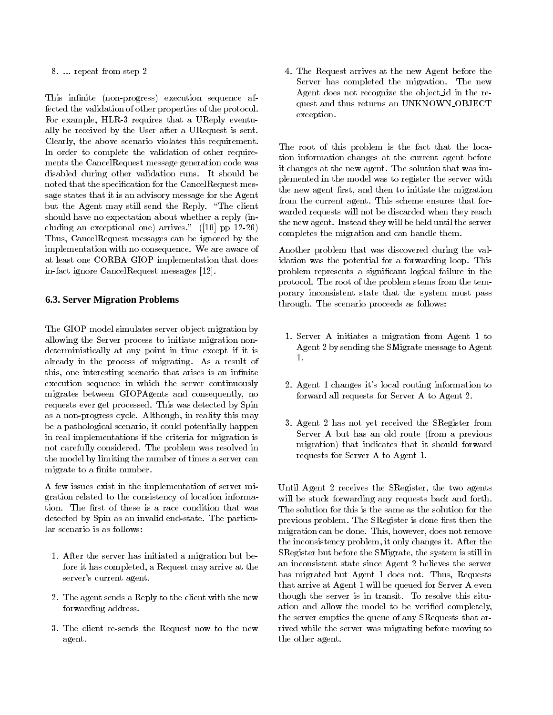8. ... repeat from step 2

This infinite (non-progress) execution sequence affected the validation of other properties of the protocol. For example, HLR-3 requires that a UReply eventually be received by the User after a URequest is sent. Clearly, the above scenario violates this requirement. In order to complete the validation of other require ments the CancelRequest message generation code was disabled during other validation runs. It should be noted that the specification for the CancelRequest message states that it is an advisory message for the Agent but the Agent may still send the Reply. "The client should have no expectation about whether a reply (including an exceptional one) arrives." ([10] pp 12-26) Thus, CancelRequest messages can be ignored by the implementation with no consequence. We are aware of at least one CORBA GIOP implementation that does in-fact ignore CancelRequest messages [12].

# **6.3. Server Migration Problems**

The GIOP model simulates server object migration by allowing the Server process to initiate migration nondeterministically at any point in time except if it is already in the process of migrating. As a result of this, one interesting scenario that arises is an infinite execution sequence in which the server continuously migrates between GIOPAgents and consequently, no requests ever get processed. This was detected by Spin as a non-progress cycle. Although, in reality this may be a pathological scenario, it could potentially happen in real implementations if the criteria for migration is not carefully considered. The problem was resolved in the model by limiting the number of times a server can migrate to a finite number.

A few issues exist in the implementation of server migration related to the consistency of location information. The first of these is a race condition that was detected by Spin as an invalid end-state. The particular scenario is as follows:

- 1. After the server has initiated a migration but before it has completed, a Request may arrive at the server's current agent.
- 2. The agent sends a Reply to the client with the new forwarding address.
- 3. The client re-sends the Request now to the new agent.

4. The Request arrives at the new Agent before the Server has completed the migration. The new Agent does not recognize the object id in the request and thus returns an UNKNOWN OBJECT exception.

The root of this problem is the fact that the location information changes at the current agent before it changes at the new agent. The solution that was implemented in the model was to register the server with the new agent first, and then to initiate the migration from the current agent. This scheme ensures that for warded requests will not be discarded when they reach the new agent. Instead they will be held until the server completes the migration and can handle them.

Another problem that was discovered during the validation was the potential for a forwarding loop. This problem represents a signicant logical failure in the protocol. The root of the problem stems from the temporary inconsistent state that the system must pass through. The scenario proceeds as follows:

- 1. Server A initiates a migration from Agent 1 to Agent 2 by sending the SMigrate message to Agent
- 2. Agent 1 changes it's local routing information to forward all requests for Server A to Agent 2.
- 3. Agent 2 has not yet received the SRegister from server as an old man old route (from a previous and migration) that indicates that it should forward requests for Server A to Agent 1.

Until Agent 2 receives the SRegister, the two agents will be stuck forwarding any requests back and forth. The solution for this is the same as the solution for the previous problem. The SRegister is done first then the migration can be done. This, however, does not remove the inconsistency problem, it only changes it. After the SRegister but before the SMigrate, the system is still in an inconsistent state since Agent 2 believes the server has migrated but Agent 1 does not. Thus, Requests that arrive at Agent 1 will be queued for Server A even though the server is in transit. To resolve this situation and allow the model to be verified completely, the server empties the queue of any SRequests that arrived while the server was migrating before moving to the other agent.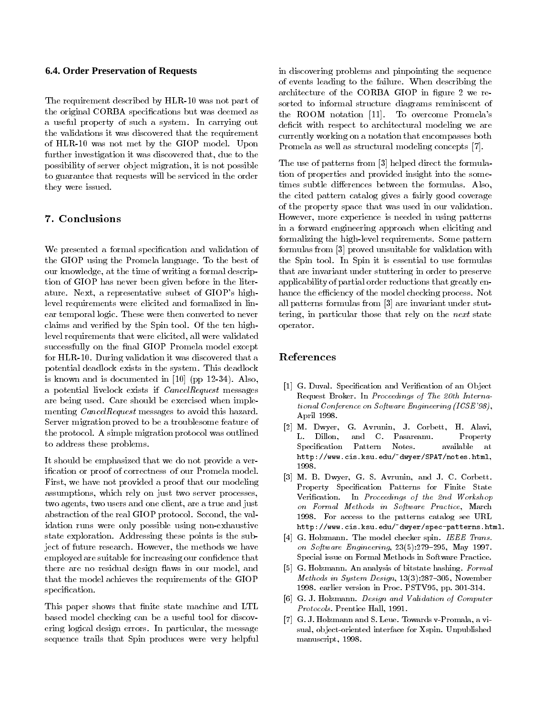#### **6.4. Order Preservation of Requests**

The requirement described by HLR-10 was not part of the original CORBA specications but was deemed as a useful property of such a system. In carrying out the validations it was discovered that the requirement of HLR-10 was not met by the GIOP model. Upon further investigation it was discovered that, due to the possibility of server object migration, it is not possible to guarantee that requests will be serviced in the order they were issued.

# 7. Conclusions

We presented a formal specification and validation of the GIOP using the Promela language. To the best of our knowledge, at the time of writing a formal description of GIOP has never been given before in the literature. Next, a representative subset of GIOP's highlevel requirements were elicited and formalized in linear temporal logic. These were then converted to never claims and veried by the Spin tool. Of the ten highlevel requirements that were elicited, all were validated successfully on the final GIOP Promela model except for HLR-10. During validation it was discovered that a potential deadlock exists in the system. This deadlock is known and is documented in [10] (pp 12-34). Also, a potential livelock exists if CancelRequest messages are being used. Care should be exercised when imple menting *CancelRequest* messages to avoid this hazard. Server migration proved to be a troublesome feature of the protocol. A simple migration protocol was outlined to address these problems.

It should be emphasized that we do not provide a verication or proof of correctness of our Promela model. First, we have not provided a proof that our modeling assumptions, which rely on just two server processes, two agents, two users and one client, are a true and just abstraction of the real GIOP protocol. Second, the validation runs were only possible using non-exhaustive state exploration. Addressing these points is the subject of future research. However, the methods we have employed are suitable for increasing our condence that there are no residual design flaws in our model, and that the model achieves the requirements of the GIOP specification.

This paper shows that finite state machine and LTL based model checking can be a useful tool for discovering logical design errors. In particular, the message sequence trails that Spin produces were very helpful

in discovering problems and pinpointing the sequence of events leading to the failure. When describing the architecture of the CORBA GIOP in figure 2 we resorted to informal structure diagrams reminiscent of the ROOM notation [11]. To overcome Promela's deficit with respect to architectural modeling we are currently working on a notation that encompasses both Promela as well as structural modeling concepts [7].

The use of patterns from [3] helped direct the formulation of properties and provided insight into the sometimes subtle differences between the formulas. Also, the cited pattern catalog gives a fairly good coverage of the property space that was used in our validation. However, more experience is needed in using patterns in a forward engineering approach when eliciting and formalizing the high-level requirements. Some pattern formulas from [3] proved unsuitable for validation with the Spin tool. In Spin it is essential to use formulas that are invariant under stuttering in order to preserve applicability of partial order reductions that greatly enhance the efficiency of the model checking process. Not all patterns formulas from [3] are invariant under stuttering, in particular those that rely on the next state operator.

# References

- [1] G. Duval. Specification and Verification of an Object Request Broker. In Proceedings of The 20th International Conference on Software Engineering (ICSE'98), April 1998.
- [2] M. Dwyer, G. Avrunin, J. Corbett, H. Alavi, L. Dillon, and C. Pasareanu. Property Specification Pattern Notes. available at http://www.cis.ksu.edu/~dwyer/SPAT/notes.html, 1998.
- [3] M. B. Dwyer, G. S. Avrunin, and J. C. Corbett. Property Specication Patterns for Finite State Verification. In Proceedings of the 2nd Workshop on Formal Methods in Software Practice, March 1998. For access to the patterns catalog see URL http://www.cis.ksu.edu/~dwyer/spec-patterns.html.
- [4] G. Holzmann. The model checker spin. IEEE Trans. on Software Engineering,  $23(5):279-295$ , May 1997. Special issue on Formal Methods in Software Practice.
- [5] G. Holzmann. An analysis of bitstate hashing. Formal Methods in System Design,  $13(3):287-305$ , November 1998. earlier version in Proc. PSTV95, pp. 301-314.
- [6] G. J. Holzmann. Design and Validation of Computer Protocols. Prentice Hall, 1991.
- [7] G. J. Holzmann and S. Leue. Towards v-Promala, a visual, ob ject-oriented interface for Xspin. Unpublished manuscript, 1998.